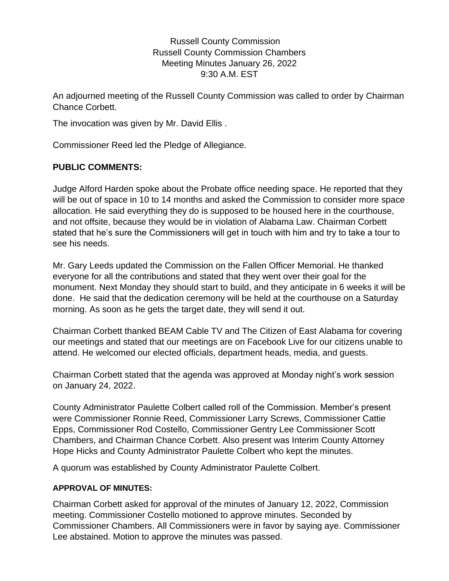Russell County Commission Russell County Commission Chambers Meeting Minutes January 26, 2022 9:30 A.M. EST

An adjourned meeting of the Russell County Commission was called to order by Chairman Chance Corbett.

The invocation was given by Mr. David Ellis .

Commissioner Reed led the Pledge of Allegiance.

## **PUBLIC COMMENTS:**

Judge Alford Harden spoke about the Probate office needing space. He reported that they will be out of space in 10 to 14 months and asked the Commission to consider more space allocation. He said everything they do is supposed to be housed here in the courthouse, and not offsite, because they would be in violation of Alabama Law. Chairman Corbett stated that he's sure the Commissioners will get in touch with him and try to take a tour to see his needs.

Mr. Gary Leeds updated the Commission on the Fallen Officer Memorial. He thanked everyone for all the contributions and stated that they went over their goal for the monument. Next Monday they should start to build, and they anticipate in 6 weeks it will be done. He said that the dedication ceremony will be held at the courthouse on a Saturday morning. As soon as he gets the target date, they will send it out.

Chairman Corbett thanked BEAM Cable TV and The Citizen of East Alabama for covering our meetings and stated that our meetings are on Facebook Live for our citizens unable to attend. He welcomed our elected officials, department heads, media, and guests.

Chairman Corbett stated that the agenda was approved at Monday night's work session on January 24, 2022.

County Administrator Paulette Colbert called roll of the Commission. Member's present were Commissioner Ronnie Reed, Commissioner Larry Screws, Commissioner Cattie Epps, Commissioner Rod Costello, Commissioner Gentry Lee Commissioner Scott Chambers, and Chairman Chance Corbett. Also present was Interim County Attorney Hope Hicks and County Administrator Paulette Colbert who kept the minutes.

A quorum was established by County Administrator Paulette Colbert.

### **APPROVAL OF MINUTES:**

Chairman Corbett asked for approval of the minutes of January 12, 2022, Commission meeting. Commissioner Costello motioned to approve minutes. Seconded by Commissioner Chambers. All Commissioners were in favor by saying aye. Commissioner Lee abstained. Motion to approve the minutes was passed.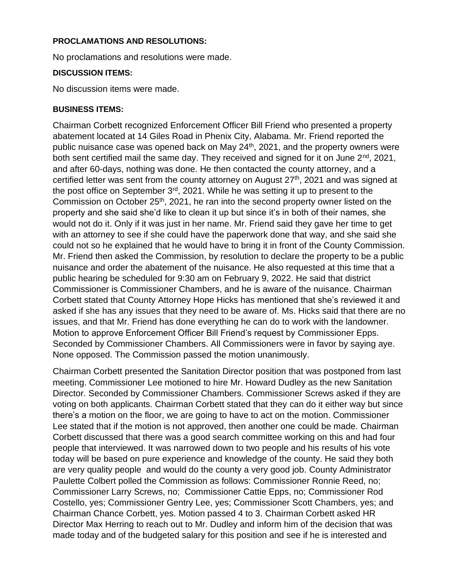### **PROCLAMATIONS AND RESOLUTIONS:**

No proclamations and resolutions were made.

### **DISCUSSION ITEMS:**

No discussion items were made.

### **BUSINESS ITEMS:**

Chairman Corbett recognized Enforcement Officer Bill Friend who presented a property abatement located at 14 Giles Road in Phenix City, Alabama. Mr. Friend reported the public nuisance case was opened back on May 24<sup>th</sup>, 2021, and the property owners were both sent certified mail the same day. They received and signed for it on June 2<sup>nd</sup>, 2021, and after 60-days, nothing was done. He then contacted the county attorney, and a certified letter was sent from the county attorney on August 27<sup>th</sup>, 2021 and was signed at the post office on September  $3<sup>rd</sup>$ , 2021. While he was setting it up to present to the Commission on October 25<sup>th</sup>, 2021, he ran into the second property owner listed on the property and she said she'd like to clean it up but since it's in both of their names, she would not do it. Only if it was just in her name. Mr. Friend said they gave her time to get with an attorney to see if she could have the paperwork done that way, and she said she could not so he explained that he would have to bring it in front of the County Commission. Mr. Friend then asked the Commission, by resolution to declare the property to be a public nuisance and order the abatement of the nuisance. He also requested at this time that a public hearing be scheduled for 9:30 am on February 9, 2022. He said that district Commissioner is Commissioner Chambers, and he is aware of the nuisance. Chairman Corbett stated that County Attorney Hope Hicks has mentioned that she's reviewed it and asked if she has any issues that they need to be aware of. Ms. Hicks said that there are no issues, and that Mr. Friend has done everything he can do to work with the landowner. Motion to approve Enforcement Officer Bill Friend's request by Commissioner Epps. Seconded by Commissioner Chambers. All Commissioners were in favor by saying aye. None opposed. The Commission passed the motion unanimously.

Chairman Corbett presented the Sanitation Director position that was postponed from last meeting. Commissioner Lee motioned to hire Mr. Howard Dudley as the new Sanitation Director. Seconded by Commissioner Chambers. Commissioner Screws asked if they are voting on both applicants. Chairman Corbett stated that they can do it either way but since there's a motion on the floor, we are going to have to act on the motion. Commissioner Lee stated that if the motion is not approved, then another one could be made. Chairman Corbett discussed that there was a good search committee working on this and had four people that interviewed. It was narrowed down to two people and his results of his vote today will be based on pure experience and knowledge of the county. He said they both are very quality people and would do the county a very good job. County Administrator Paulette Colbert polled the Commission as follows: Commissioner Ronnie Reed, no; Commissioner Larry Screws, no; Commissioner Cattie Epps, no; Commissioner Rod Costello, yes; Commissioner Gentry Lee, yes; Commissioner Scott Chambers, yes; and Chairman Chance Corbett, yes. Motion passed 4 to 3. Chairman Corbett asked HR Director Max Herring to reach out to Mr. Dudley and inform him of the decision that was made today and of the budgeted salary for this position and see if he is interested and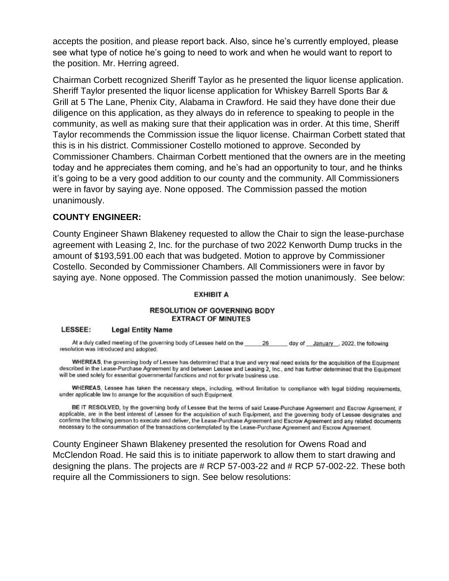accepts the position, and please report back. Also, since he's currently employed, please see what type of notice he's going to need to work and when he would want to report to the position. Mr. Herring agreed.

Chairman Corbett recognized Sheriff Taylor as he presented the liquor license application. Sheriff Taylor presented the liquor license application for Whiskey Barrell Sports Bar & Grill at 5 The Lane, Phenix City, Alabama in Crawford. He said they have done their due diligence on this application, as they always do in reference to speaking to people in the community, as well as making sure that their application was in order. At this time, Sheriff Taylor recommends the Commission issue the liquor license. Chairman Corbett stated that this is in his district. Commissioner Costello motioned to approve. Seconded by Commissioner Chambers. Chairman Corbett mentioned that the owners are in the meeting today and he appreciates them coming, and he's had an opportunity to tour, and he thinks it's going to be a very good addition to our county and the community. All Commissioners were in favor by saying aye. None opposed. The Commission passed the motion unanimously.

### **COUNTY ENGINEER:**

County Engineer Shawn Blakeney requested to allow the Chair to sign the lease-purchase agreement with Leasing 2, Inc. for the purchase of two 2022 Kenworth Dump trucks in the amount of \$193,591.00 each that was budgeted. Motion to approve by Commissioner Costello. Seconded by Commissioner Chambers. All Commissioners were in favor by saying aye. None opposed. The Commission passed the motion unanimously. See below:

### **EXHIBIT A**

### **RESOLUTION OF GOVERNING BODY EXTRACT OF MINUTES**

#### LESSEE: **Legal Entity Name**

At a duly called meeting of the governing body of Lessee held on the 26 day of January 2022, the following resolution was introduced and adopted.

WHEREAS, the governing body of Lessee has determined that a true and very real need exists for the acquisition of the Equipment described in the Lease-Purchase Agreement by and between Lessee and Leasing 2, Inc., and has further determined that the Equipment will be used solely for essential governmental functions and not for private business use.

WHEREAS, Lessee has taken the necessary steps, including, without limitation to compliance with legal bidding requirements, under applicable law to arrange for the acquisition of such Equipment.

BE IT RESOLVED, by the governing body of Lessee that the terms of said Lease-Purchase Agreement and Escrow Agreement, if applicable, are in the best interest of Lessee for the acquisition of such Equipment, and the governing body of Lessee designates and confirms the following person to execute and deliver, the Lease-Purchase Agreement and Escrow Agreement and any related documents necessary to the consummation of the transactions contemplated by the Lease-Purchase Agreement and Escrow Agreement.

County Engineer Shawn Blakeney presented the resolution for Owens Road and McClendon Road. He said this is to initiate paperwork to allow them to start drawing and designing the plans. The projects are # RCP 57-003-22 and # RCP 57-002-22. These both require all the Commissioners to sign. See below resolutions: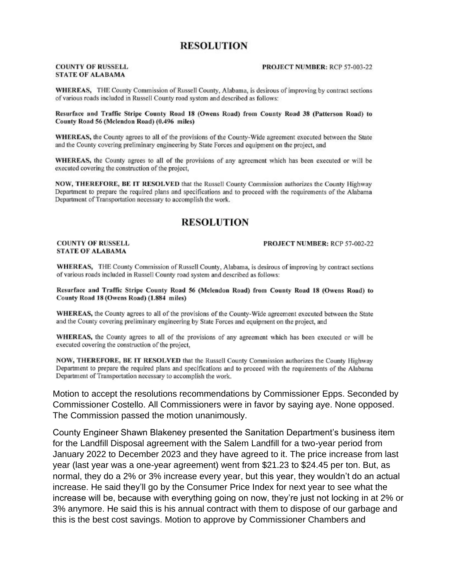# **RESOLUTION**

### **COUNTY OF RUSSELL STATE OF ALABAMA**

#### PROJECT NUMBER: RCP 57-003-22

WHEREAS, THE County Commission of Russell County, Alabama, is desirous of improving by contract sections of various roads included in Russell County road system and described as follows:

### Resurface and Traffic Stripe County Road 18 (Owens Road) from County Road 38 (Patterson Road) to County Road 56 (Mclendon Road) (0.496 miles)

WHEREAS, the County agrees to all of the provisions of the County-Wide agreement executed between the State and the County covering preliminary engineering by State Forces and equipment on the project, and

WHEREAS, the County agrees to all of the provisions of any agreement which has been executed or will be executed covering the construction of the project,

NOW, THEREFORE, BE IT RESOLVED that the Russell County Commission authorizes the County Highway Department to prepare the required plans and specifications and to proceed with the requirements of the Alabama Department of Transportation necessary to accomplish the work.

### **RESOLUTION**

#### **COUNTY OF RUSSELL STATE OF ALABAMA**

### PROJECT NUMBER: RCP 57-002-22

WHEREAS, THE County Commission of Russell County, Alabama, is desirous of improving by contract sections of various roads included in Russell County road system and described as follows:

Resurface and Traffic Stripe County Road 56 (Mclendon Road) from County Road 18 (Owens Road) to County Road 18 (Owens Road) (1.884 miles)

WHEREAS, the County agrees to all of the provisions of the County-Wide agreement executed between the State and the County covering preliminary engineering by State Forces and equipment on the project, and

WHEREAS, the County agrees to all of the provisions of any agreement which has been executed or will be executed covering the construction of the project,

NOW, THEREFORE, BE IT RESOLVED that the Russell County Commission authorizes the County Highway Department to prepare the required plans and specifications and to proceed with the requirements of the Alabama Department of Transportation necessary to accomplish the work.

Motion to accept the resolutions recommendations by Commissioner Epps. Seconded by Commissioner Costello. All Commissioners were in favor by saying aye. None opposed. The Commission passed the motion unanimously.

County Engineer Shawn Blakeney presented the Sanitation Department's business item for the Landfill Disposal agreement with the Salem Landfill for a two-year period from January 2022 to December 2023 and they have agreed to it. The price increase from last year (last year was a one-year agreement) went from \$21.23 to \$24.45 per ton. But, as normal, they do a 2% or 3% increase every year, but this year, they wouldn't do an actual increase. He said they'll go by the Consumer Price Index for next year to see what the increase will be, because with everything going on now, they're just not locking in at 2% or 3% anymore. He said this is his annual contract with them to dispose of our garbage and this is the best cost savings. Motion to approve by Commissioner Chambers and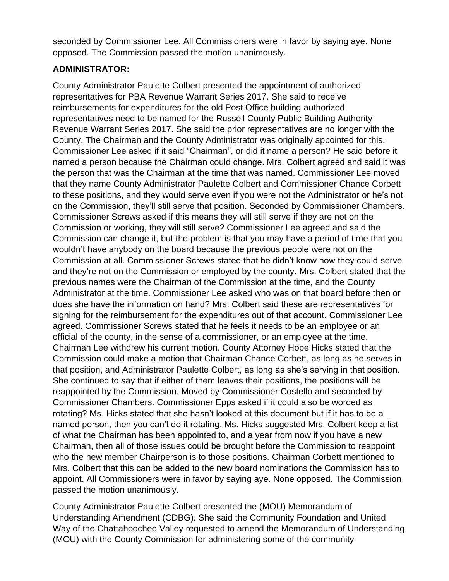seconded by Commissioner Lee. All Commissioners were in favor by saying aye. None opposed. The Commission passed the motion unanimously.

# **ADMINISTRATOR:**

County Administrator Paulette Colbert presented the appointment of authorized representatives for PBA Revenue Warrant Series 2017. She said to receive reimbursements for expenditures for the old Post Office building authorized representatives need to be named for the Russell County Public Building Authority Revenue Warrant Series 2017. She said the prior representatives are no longer with the County. The Chairman and the County Administrator was originally appointed for this. Commissioner Lee asked if it said "Chairman", or did it name a person? He said before it named a person because the Chairman could change. Mrs. Colbert agreed and said it was the person that was the Chairman at the time that was named. Commissioner Lee moved that they name County Administrator Paulette Colbert and Commissioner Chance Corbett to these positions, and they would serve even if you were not the Administrator or he's not on the Commission, they'll still serve that position. Seconded by Commissioner Chambers. Commissioner Screws asked if this means they will still serve if they are not on the Commission or working, they will still serve? Commissioner Lee agreed and said the Commission can change it, but the problem is that you may have a period of time that you wouldn't have anybody on the board because the previous people were not on the Commission at all. Commissioner Screws stated that he didn't know how they could serve and they're not on the Commission or employed by the county. Mrs. Colbert stated that the previous names were the Chairman of the Commission at the time, and the County Administrator at the time. Commissioner Lee asked who was on that board before then or does she have the information on hand? Mrs. Colbert said these are representatives for signing for the reimbursement for the expenditures out of that account. Commissioner Lee agreed. Commissioner Screws stated that he feels it needs to be an employee or an official of the county, in the sense of a commissioner, or an employee at the time. Chairman Lee withdrew his current motion. County Attorney Hope Hicks stated that the Commission could make a motion that Chairman Chance Corbett, as long as he serves in that position, and Administrator Paulette Colbert, as long as she's serving in that position. She continued to say that if either of them leaves their positions, the positions will be reappointed by the Commission. Moved by Commissioner Costello and seconded by Commissioner Chambers. Commissioner Epps asked if it could also be worded as rotating? Ms. Hicks stated that she hasn't looked at this document but if it has to be a named person, then you can't do it rotating. Ms. Hicks suggested Mrs. Colbert keep a list of what the Chairman has been appointed to, and a year from now if you have a new Chairman, then all of those issues could be brought before the Commission to reappoint who the new member Chairperson is to those positions. Chairman Corbett mentioned to Mrs. Colbert that this can be added to the new board nominations the Commission has to appoint. All Commissioners were in favor by saying aye. None opposed. The Commission passed the motion unanimously.

County Administrator Paulette Colbert presented the (MOU) Memorandum of Understanding Amendment (CDBG). She said the Community Foundation and United Way of the Chattahoochee Valley requested to amend the Memorandum of Understanding (MOU) with the County Commission for administering some of the community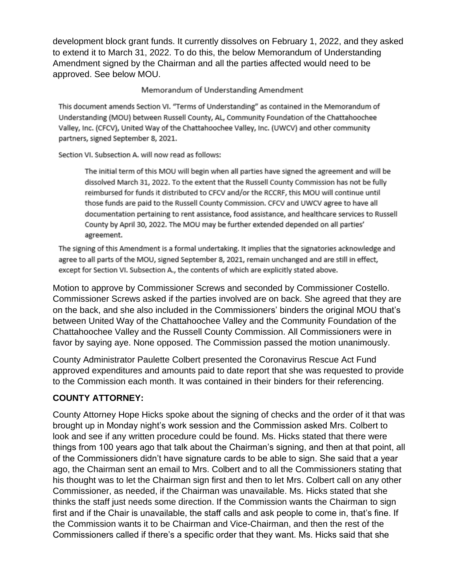development block grant funds. It currently dissolves on February 1, 2022, and they asked to extend it to March 31, 2022. To do this, the below Memorandum of Understanding Amendment signed by the Chairman and all the parties affected would need to be approved. See below MOU.

### Memorandum of Understanding Amendment

This document amends Section VI. "Terms of Understanding" as contained in the Memorandum of Understanding (MOU) between Russell County, AL, Community Foundation of the Chattahoochee Valley, Inc. (CFCV), United Way of the Chattahoochee Valley, Inc. (UWCV) and other community partners, signed September 8, 2021.

Section VI. Subsection A. will now read as follows:

The initial term of this MOU will begin when all parties have signed the agreement and will be dissolved March 31, 2022. To the extent that the Russell County Commission has not be fully reimbursed for funds it distributed to CFCV and/or the RCCRF, this MOU will continue until those funds are paid to the Russell County Commission. CFCV and UWCV agree to have all documentation pertaining to rent assistance, food assistance, and healthcare services to Russell County by April 30, 2022. The MOU may be further extended depended on all parties' agreement.

The signing of this Amendment is a formal undertaking. It implies that the signatories acknowledge and agree to all parts of the MOU, signed September 8, 2021, remain unchanged and are still in effect, except for Section VI. Subsection A., the contents of which are explicitly stated above.

Motion to approve by Commissioner Screws and seconded by Commissioner Costello. Commissioner Screws asked if the parties involved are on back. She agreed that they are on the back, and she also included in the Commissioners' binders the original MOU that's between United Way of the Chattahoochee Valley and the Community Foundation of the Chattahoochee Valley and the Russell County Commission. All Commissioners were in favor by saying aye. None opposed. The Commission passed the motion unanimously.

County Administrator Paulette Colbert presented the Coronavirus Rescue Act Fund approved expenditures and amounts paid to date report that she was requested to provide to the Commission each month. It was contained in their binders for their referencing.

# **COUNTY ATTORNEY:**

County Attorney Hope Hicks spoke about the signing of checks and the order of it that was brought up in Monday night's work session and the Commission asked Mrs. Colbert to look and see if any written procedure could be found. Ms. Hicks stated that there were things from 100 years ago that talk about the Chairman's signing, and then at that point, all of the Commissioners didn't have signature cards to be able to sign. She said that a year ago, the Chairman sent an email to Mrs. Colbert and to all the Commissioners stating that his thought was to let the Chairman sign first and then to let Mrs. Colbert call on any other Commissioner, as needed, if the Chairman was unavailable. Ms. Hicks stated that she thinks the staff just needs some direction. If the Commission wants the Chairman to sign first and if the Chair is unavailable, the staff calls and ask people to come in, that's fine. If the Commission wants it to be Chairman and Vice-Chairman, and then the rest of the Commissioners called if there's a specific order that they want. Ms. Hicks said that she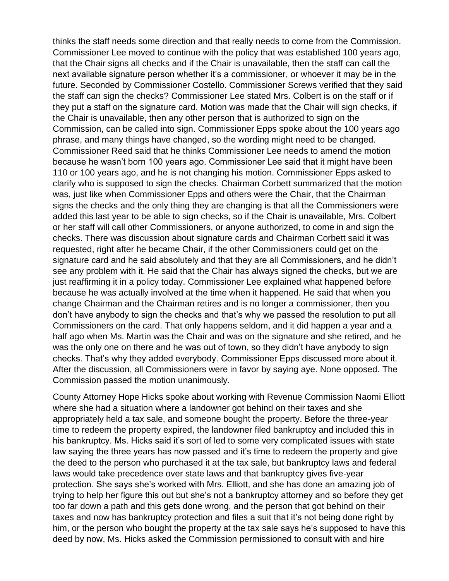thinks the staff needs some direction and that really needs to come from the Commission. Commissioner Lee moved to continue with the policy that was established 100 years ago, that the Chair signs all checks and if the Chair is unavailable, then the staff can call the next available signature person whether it's a commissioner, or whoever it may be in the future. Seconded by Commissioner Costello. Commissioner Screws verified that they said the staff can sign the checks? Commissioner Lee stated Mrs. Colbert is on the staff or if they put a staff on the signature card. Motion was made that the Chair will sign checks, if the Chair is unavailable, then any other person that is authorized to sign on the Commission, can be called into sign. Commissioner Epps spoke about the 100 years ago phrase, and many things have changed, so the wording might need to be changed. Commissioner Reed said that he thinks Commissioner Lee needs to amend the motion because he wasn't born 100 years ago. Commissioner Lee said that it might have been 110 or 100 years ago, and he is not changing his motion. Commissioner Epps asked to clarify who is supposed to sign the checks. Chairman Corbett summarized that the motion was, just like when Commissioner Epps and others were the Chair, that the Chairman signs the checks and the only thing they are changing is that all the Commissioners were added this last year to be able to sign checks, so if the Chair is unavailable, Mrs. Colbert or her staff will call other Commissioners, or anyone authorized, to come in and sign the checks. There was discussion about signature cards and Chairman Corbett said it was requested, right after he became Chair, if the other Commissioners could get on the signature card and he said absolutely and that they are all Commissioners, and he didn't see any problem with it. He said that the Chair has always signed the checks, but we are just reaffirming it in a policy today. Commissioner Lee explained what happened before because he was actually involved at the time when it happened. He said that when you change Chairman and the Chairman retires and is no longer a commissioner, then you don't have anybody to sign the checks and that's why we passed the resolution to put all Commissioners on the card. That only happens seldom, and it did happen a year and a half ago when Ms. Martin was the Chair and was on the signature and she retired, and he was the only one on there and he was out of town, so they didn't have anybody to sign checks. That's why they added everybody. Commissioner Epps discussed more about it. After the discussion, all Commissioners were in favor by saying aye. None opposed. The Commission passed the motion unanimously.

County Attorney Hope Hicks spoke about working with Revenue Commission Naomi Elliott where she had a situation where a landowner got behind on their taxes and she appropriately held a tax sale, and someone bought the property. Before the three-year time to redeem the property expired, the landowner filed bankruptcy and included this in his bankruptcy. Ms. Hicks said it's sort of led to some very complicated issues with state law saying the three years has now passed and it's time to redeem the property and give the deed to the person who purchased it at the tax sale, but bankruptcy laws and federal laws would take precedence over state laws and that bankruptcy gives five-year protection. She says she's worked with Mrs. Elliott, and she has done an amazing job of trying to help her figure this out but she's not a bankruptcy attorney and so before they get too far down a path and this gets done wrong, and the person that got behind on their taxes and now has bankruptcy protection and files a suit that it's not being done right by him, or the person who bought the property at the tax sale says he's supposed to have this deed by now, Ms. Hicks asked the Commission permissioned to consult with and hire